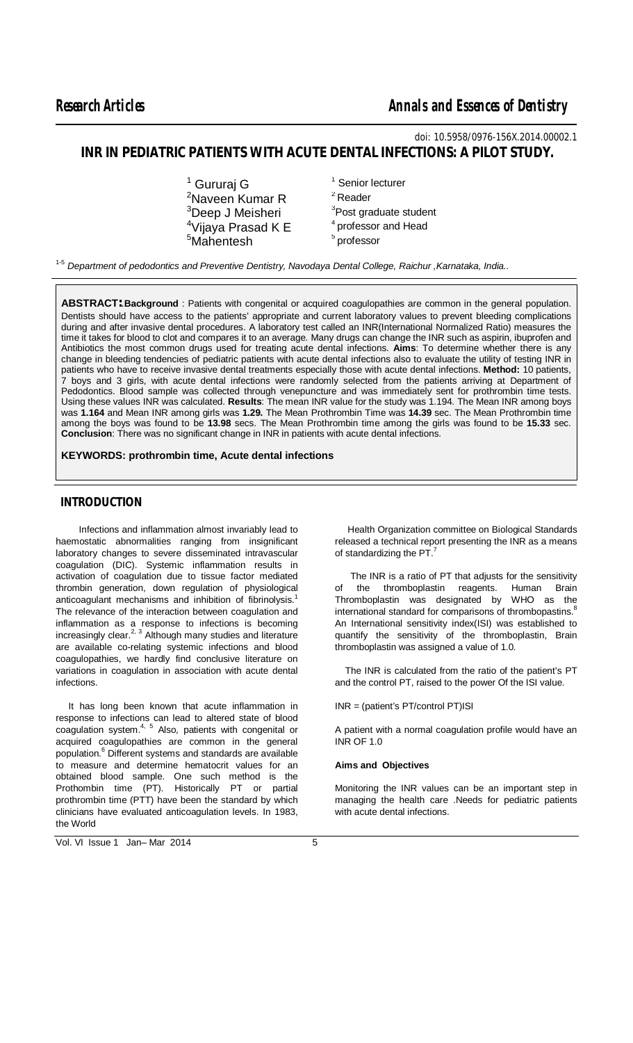$\overline{a}$ 

*doi: 10.5958/0976-156X.2014.00002.1* **INR IN PEDIATRIC PATIENTS WITH ACUTE DENTAL INFECTIONS: A PILOT STUDY.**

- $1$  Gururai G  $1$  Senior lecturer <sup>2</sup>Naveen Kumar R  $^{4}$ Vijaya Prasad K E  $^{4}$  professor  $^{5}$ Mahentesh  $^{5}$  professor  $<sup>5</sup>$ Mahentesh</sup>
- <sup>2</sup> Reader  $3$ Deep J Meisheri  $3$ Post graduate student<br> $4$ Viiava Prasad K F  $3$  professor and Head

1-5 *Department of pedodontics and Preventive Dentistry, Navodaya Dental College, Raichur ,Karnataka, India..*

**ABSTRACT:**.**Background** : Patients with congenital or acquired coagulopathies are common in the general population. Dentists should have access to the patients' appropriate and current laboratory values to prevent bleeding complications during and after invasive dental procedures. A laboratory test called an INR(International Normalized Ratio) measures the time it takes for blood to clot and compares it to an average. Many drugs can change the INR such as aspirin, ibuprofen and Antibiotics the most common drugs used for treating acute dental infections. **Aims**: To determine whether there is any change in bleeding tendencies of pediatric patients with acute dental infections also to evaluate the utility of testing INR in patients who have to receive invasive dental treatments especially those with acute dental infections. **Method:** 10 patients, 7 boys and 3 girls, with acute dental infections were randomly selected from the patients arriving at Department of Pedodontics. Blood sample was collected through venepuncture and was immediately sent for prothrombin time tests. Using these values INR was calculated. **Results**: The mean INR value for the study was 1.194. The Mean INR among boys was **1.164** and Mean INR among girls was **1.29.** The Mean Prothrombin Time was **14.39** sec. The Mean Prothrombin time among the boys was found to be **13.98** secs. The Mean Prothrombin time among the girls was found to be **15.33** sec. **Conclusion**: There was no significant change in INR in patients with acute dental infections.

## **KEYWORDS: prothrombin time, Acute dental infections**

# **INTRODUCTION**

 Infections and inflammation almost invariably lead to haemostatic abnormalities ranging from insignificant laboratory changes to severe disseminated intravascular coagulation (DIC). Systemic inflammation results in activation of coagulation due to tissue factor mediated thrombin generation, down regulation of physiological anticoagulant mechanisms and inhibition of fibrinolysis.<sup>1</sup> The relevance of the interaction between coagulation and inflammation as a response to infections is becoming increasingly clear.<sup>2, 3</sup> Although many studies and literature are available co-relating systemic infections and blood coagulopathies, we hardly find conclusive literature on variations in coagulation in association with acute dental infections.

 It has long been known that acute inflammation in response to infections can lead to altered state of blood coagulation system.<sup>4, 5</sup> Also, patients with congenital or acquired coagulopathies are common in the general population.<sup>6</sup> Different systems and standards are available to measure and determine hematocrit values for an obtained blood sample. One such method is the Prothombin time (PT). Historically PT or partial prothrombin time (PTT) have been the standard by which clinicians have evaluated anticoagulation levels. In 1983, the World

 Health Organization committee on Biological Standards released a technical report presenting the INR as a means of standardizing the  $PT$ .

 The INR is a ratio of PT that adjusts for the sensitivity of the thromboplastin reagents. Human Brain Thromboplastin was designated by WHO as the international standard for comparisons of thrombopastins.<sup>8</sup> An International sensitivity index(ISI) was established to quantify the sensitivity of the thromboplastin, Brain thromboplastin was assigned a value of 1.0.

 The INR is calculated from the ratio of the patient's PT and the control PT, raised to the power Of the ISI value.

INR = (patient's PT/control PT)ISI

A patient with a normal coagulation profile would have an INR OF 1.0

# **Aims and Objectives**

Monitoring the INR values can be an important step in managing the health care .Needs for pediatric patients with acute dental infections.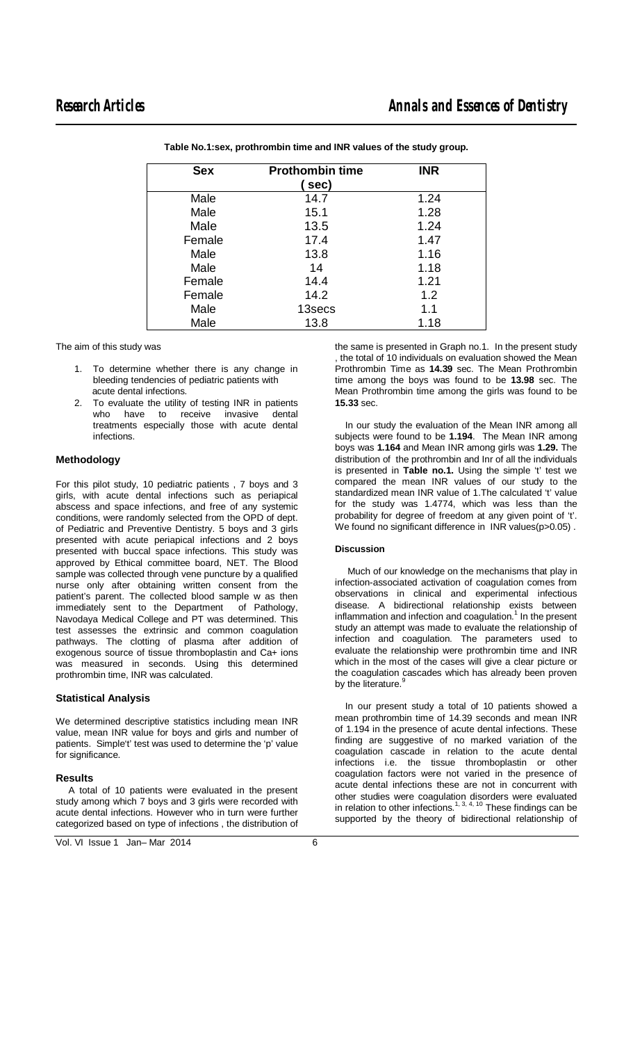$\overline{a}$ 

| <b>Sex</b> | <b>Prothombin time</b> | <b>INR</b> |  |
|------------|------------------------|------------|--|
|            | sec)                   |            |  |
| Male       | 14.7                   | 1.24       |  |
| Male       | 15.1                   | 1.28       |  |
| Male       | 13.5                   | 1.24       |  |
| Female     | 17.4                   | 1.47       |  |
| Male       | 13.8                   | 1.16       |  |
| Male       | 14                     | 1.18       |  |
| Female     | 14.4                   | 1.21       |  |
| Female     | 14.2                   | 1.2        |  |
| Male       | 13secs                 | 1.1        |  |
| Male       | 13.8                   | 1.18       |  |

**Table No.1:sex, prothrombin time and INR values of the study group.**

The aim of this study was

- 1. To determine whether there is any change in bleeding tendencies of pediatric patients with acute dental infections.
- To evaluate the utility of testing INR in patients<br>who have to receive invasive dental who have to receive treatments especially those with acute dental infections.

# **Methodology**

For this pilot study, 10 pediatric patients , 7 boys and 3 girls, with acute dental infections such as periapical abscess and space infections, and free of any systemic conditions, were randomly selected from the OPD of dept. of Pediatric and Preventive Dentistry. 5 boys and 3 girls presented with acute periapical infections and 2 boys presented with buccal space infections. This study was approved by Ethical committee board, NET. The Blood sample was collected through vene puncture by a qualified nurse only after obtaining written consent from the patient's parent. The collected blood sample w as then immediately sent to the Department of Pathology, Navodaya Medical College and PT was determined. This test assesses the extrinsic and common coagulation pathways. The clotting of plasma after addition of exogenous source of tissue thromboplastin and Ca+ ions was measured in seconds. Using this determined prothrombin time, INR was calculated.

## **Statistical Analysis**

We determined descriptive statistics including mean INR value, mean INR value for boys and girls and number of patients. Simple't' test was used to determine the 'p' value for significance.

## **Results**

 A total of 10 patients were evaluated in the present study among which 7 boys and 3 girls were recorded with acute dental infections. However who in turn were further categorized based on type of infections , the distribution of

Vol. VI Issue 1 Jan–Mar 2014 6

the same is presented in Graph no.1. In the present study , the total of 10 individuals on evaluation showed the Mean Prothrombin Time as **14.39** sec. The Mean Prothrombin time among the boys was found to be **13.98** sec. The Mean Prothrombin time among the girls was found to be **15.33** sec.

 In our study the evaluation of the Mean INR among all subjects were found to be **1.194**. The Mean INR among boys was **1.164** and Mean INR among girls was **1.29.** The distribution of the prothrombin and Inr of all the individuals is presented in **Table no.1.** Using the simple 't' test we compared the mean INR values of our study to the standardized mean INR value of 1.The calculated 't' value for the study was 1.4774, which was less than the probability for degree of freedom at any given point of 't'. We found no significant difference in INR values(p>0.05).

#### **Discussion**

 Much of our knowledge on the mechanisms that play in infection-associated activation of coagulation comes from observations in clinical and experimental infectious disease. A bidirectional relationship exists between inflammation and infection and coagulation. $1$  In the present study an attempt was made to evaluate the relationship of infection and coagulation. The parameters used to evaluate the relationship were prothrombin time and INR which in the most of the cases will give a clear picture or the coagulation cascades which has already been proven by the literature.<sup>9</sup>

 In our present study a total of 10 patients showed a mean prothrombin time of 14.39 seconds and mean INR of 1.194 in the presence of acute dental infections. These finding are suggestive of no marked variation of the coagulation cascade in relation to the acute dental infections i.e. the tissue thromboplastin or other coagulation factors were not varied in the presence of acute dental infections these are not in concurrent with other studies were coagulation disorders were evaluated in relation to other infections.<sup>1, 3, 4, 10</sup> These findings can be supported by the theory of bidirectional relationship of